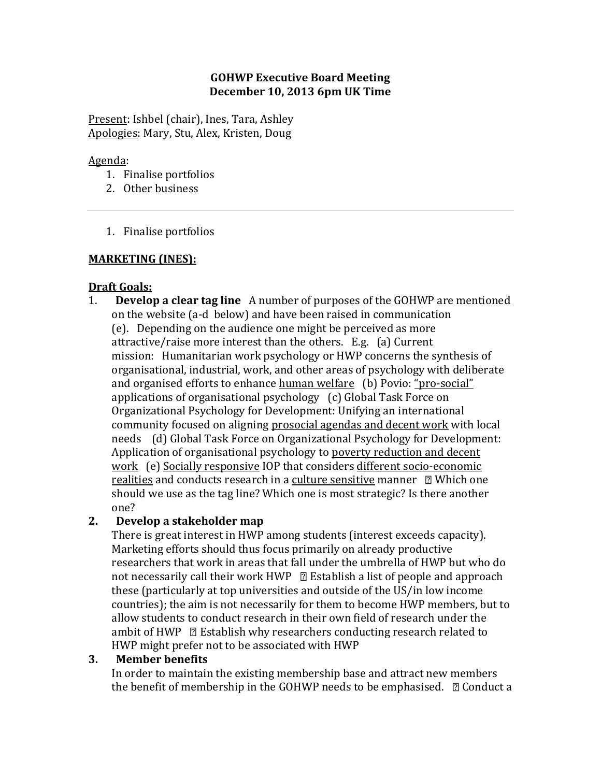### **GOHWP Executive Board Meeting December 10, 2013 6pm UK Time**

Present: Ishbel (chair), Ines, Tara, Ashley Apologies: Mary, Stu, Alex, Kristen, Doug

#### Agenda:

- 1. Finalise portfolios
- 2. Other business
- 1. Finalise portfolios

### **MARKETING (INES):**

#### **Draft Goals:**

1. **Develop a clear tag line** A number of purposes of the GOHWP are mentioned on the website (a-d below) and have been raised in communication (e). Depending on the audience one might be perceived as more attractive/raise more interest than the others. E.g. (a) Current mission: Humanitarian work psychology or HWP concerns the synthesis of organisational, industrial, work, and other areas of psychology with deliberate and organised efforts to enhance human welfare (b) Povio: "pro-social" applications of organisational psychology (c) Global Task Force on Organizational Psychology for Development: Unifying an international community focused on aligning prosocial agendas and decent work with local needs (d) Global Task Force on Organizational Psychology for Development: Application of organisational psychology to poverty reduction and decent work (e) Socially responsive IOP that considers different socio-economic realities and conducts research in a culture sensitive manner  $\Box$  Which one should we use as the tag line? Which one is most strategic? Is there another one?

#### **2. Develop a stakeholder map**

There is great interest in HWP among students (interest exceeds capacity). Marketing efforts should thus focus primarily on already productive researchers that work in areas that fall under the umbrella of HWP but who do not necessarily call their work  $HWP \nsubseteq$  Establish a list of people and approach these (particularly at top universities and outside of the US/in low income countries); the aim is not necessarily for them to become HWP members, but to allow students to conduct research in their own field of research under the ambit of HWP  $\Box$  Establish why researchers conducting research related to HWP might prefer not to be associated with HWP

#### **3. Member benefits**

In order to maintain the existing membership base and attract new members the benefit of membership in the GOHWP needs to be emphasised.  $\Box$  Conduct a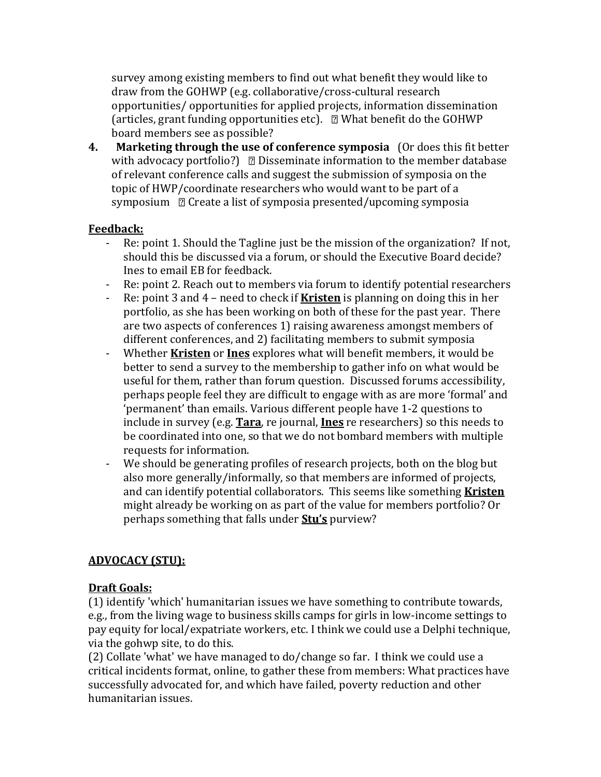survey among existing members to find out what benefit they would like to draw from the GOHWP (e.g. collaborative/cross-cultural research opportunities/ opportunities for applied projects, information dissemination (articles, grant funding opportunities etc).  $\Box$  What benefit do the GOHWP board members see as possible?

**4. Marketing through the use of conference symposia** (Or does this fit better with advocacy portfolio?) 2 Disseminate information to the member database of relevant conference calls and suggest the submission of symposia on the topic of HWP/coordinate researchers who would want to be part of a symposium  $\mathbb D$  Create a list of symposia presented/upcoming symposia

### **Feedback:**

- Re: point 1. Should the Tagline just be the mission of the organization? If not, should this be discussed via a forum, or should the Executive Board decide? Ines to email EB for feedback.
- Re: point 2. Reach out to members via forum to identify potential researchers
- Re: point 3 and 4 need to check if **Kristen** is planning on doing this in her portfolio, as she has been working on both of these for the past year. There are two aspects of conferences 1) raising awareness amongst members of different conferences, and 2) facilitating members to submit symposia
- Whether **Kristen** or **Ines** explores what will benefit members, it would be better to send a survey to the membership to gather info on what would be useful for them, rather than forum question. Discussed forums accessibility, perhaps people feel they are difficult to engage with as are more 'formal' and 'permanent' than emails. Various different people have 1-2 questions to include in survey (e.g. **Tara**, re journal, **Ines** re researchers) so this needs to be coordinated into one, so that we do not bombard members with multiple requests for information.
- We should be generating profiles of research projects, both on the blog but also more generally/informally, so that members are informed of projects, and can identify potential collaborators. This seems like something **Kristen** might already be working on as part of the value for members portfolio? Or perhaps something that falls under **Stu's** purview?

## **ADVOCACY (STU):**

## **Draft Goals:**

(1) identify 'which' humanitarian issues we have something to contribute towards, e.g., from the living wage to business skills camps for girls in low-income settings to pay equity for local/expatriate workers, etc. I think we could use a Delphi technique, via the gohwp site, to do this.

(2) Collate 'what' we have managed to do/change so far. I think we could use a critical incidents format, online, to gather these from members: What practices have successfully advocated for, and which have failed, poverty reduction and other humanitarian issues.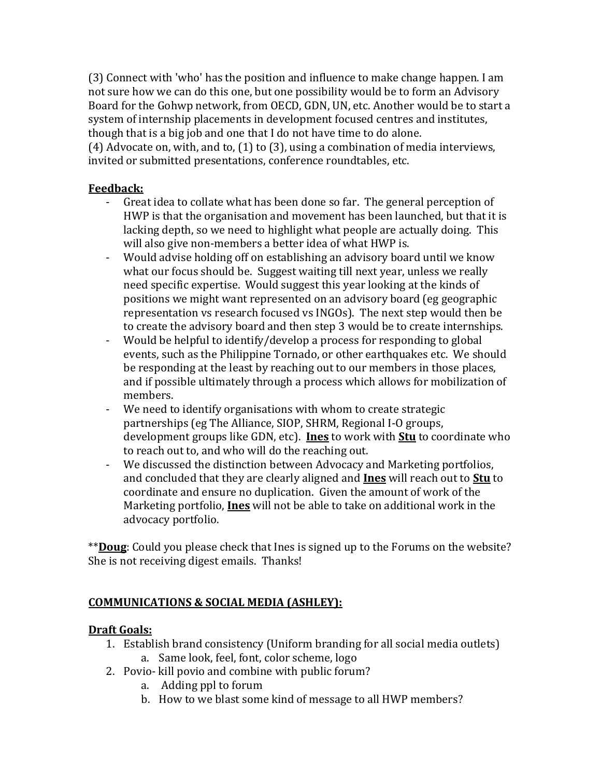(3) Connect with 'who' has the position and influence to make change happen. I am not sure how we can do this one, but one possibility would be to form an Advisory Board for the Gohwp network, from OECD, GDN, UN, etc. Another would be to start a system of internship placements in development focused centres and institutes, though that is a big job and one that I do not have time to do alone. (4) Advocate on, with, and to, (1) to (3), using a combination of media interviews,

invited or submitted presentations, conference roundtables, etc.

### **Feedback:**

- Great idea to collate what has been done so far. The general perception of HWP is that the organisation and movement has been launched, but that it is lacking depth, so we need to highlight what people are actually doing. This will also give non-members a better idea of what HWP is.
- Would advise holding off on establishing an advisory board until we know what our focus should be. Suggest waiting till next year, unless we really need specific expertise. Would suggest this year looking at the kinds of positions we might want represented on an advisory board (eg geographic representation vs research focused vs INGOs). The next step would then be to create the advisory board and then step 3 would be to create internships.
- Would be helpful to identify/develop a process for responding to global events, such as the Philippine Tornado, or other earthquakes etc. We should be responding at the least by reaching out to our members in those places, and if possible ultimately through a process which allows for mobilization of members.
- We need to identify organisations with whom to create strategic partnerships (eg The Alliance, SIOP, SHRM, Regional I-O groups, development groups like GDN, etc). **Ines** to work with **Stu** to coordinate who to reach out to, and who will do the reaching out.
- We discussed the distinction between Advocacy and Marketing portfolios, and concluded that they are clearly aligned and **Ines** will reach out to **Stu** to coordinate and ensure no duplication. Given the amount of work of the Marketing portfolio, **Ines** will not be able to take on additional work in the advocacy portfolio.

\*\***Doug**: Could you please check that Ines is signed up to the Forums on the website? She is not receiving digest emails. Thanks!

## **COMMUNICATIONS & SOCIAL MEDIA (ASHLEY):**

#### **Draft Goals:**

- 1. Establish brand consistency (Uniform branding for all social media outlets) a. Same look, feel, font, color scheme, logo
- 2. Povio- kill povio and combine with public forum?
	- a. Adding ppl to forum
	- b. How to we blast some kind of message to all HWP members?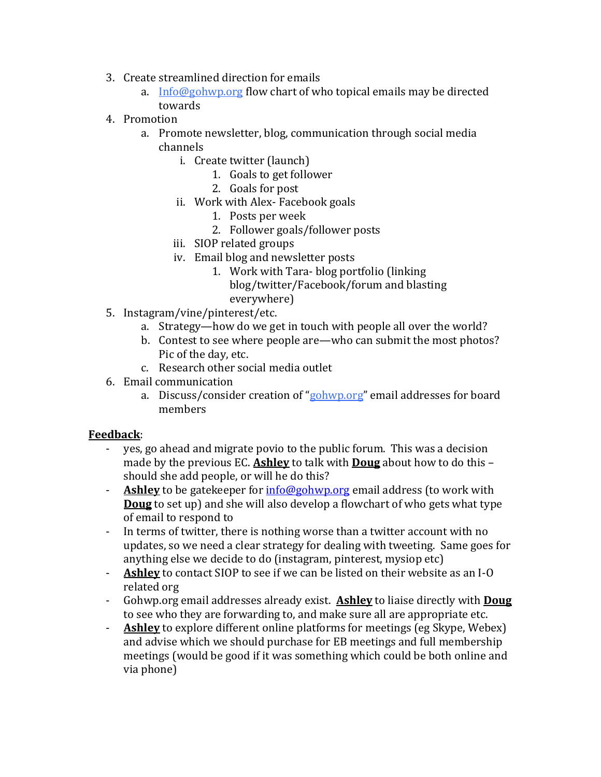- 3. Create streamlined direction for emails
	- a. [Info@gohwp.org](mailto:Info@gohwp.org) flow chart of who topical emails may be directed towards
- 4. Promotion
	- a. Promote newsletter, blog, communication through social media channels
		- i. Create twitter (launch)
			- 1. Goals to get follower
			- 2. Goals for post
		- ii. Work with Alex- Facebook goals
			- 1. Posts per week
			- 2. Follower goals/follower posts
		- iii. SIOP related groups
		- iv. Email blog and newsletter posts
			- 1. Work with Tara- blog portfolio (linking blog/twitter/Facebook/forum and blasting everywhere)
- 5. Instagram/vine/pinterest/etc.
	- a. Strategy—how do we get in touch with people all over the world?
	- b. Contest to see where people are—who can submit the most photos? Pic of the day, etc.
	- c. Research other social media outlet
- 6. Email communication
	- a. Discuss/consider creation of "[gohwp.org](http://gohwp.org/)" email addresses for board members

#### **Feedback**:

- yes, go ahead and migrate povio to the public forum. This was a decision made by the previous EC. **Ashley** to talk with **Doug** about how to do this – should she add people, or will he do this?
- **Ashley** to be gatekeeper for  $\frac{info@gohwp.org}{img}$  email address (to work with **Doug** to set up) and she will also develop a flowchart of who gets what type of email to respond to
- In terms of twitter, there is nothing worse than a twitter account with no updates, so we need a clear strategy for dealing with tweeting. Same goes for anything else we decide to do (instagram, pinterest, mysiop etc)
- **Ashley** to contact SIOP to see if we can be listed on their website as an I-O related org
- Gohwp.org email addresses already exist. **Ashley** to liaise directly with **Doug** to see who they are forwarding to, and make sure all are appropriate etc.
- **Ashley** to explore different online platforms for meetings (eg Skype, Webex) and advise which we should purchase for EB meetings and full membership meetings (would be good if it was something which could be both online and via phone)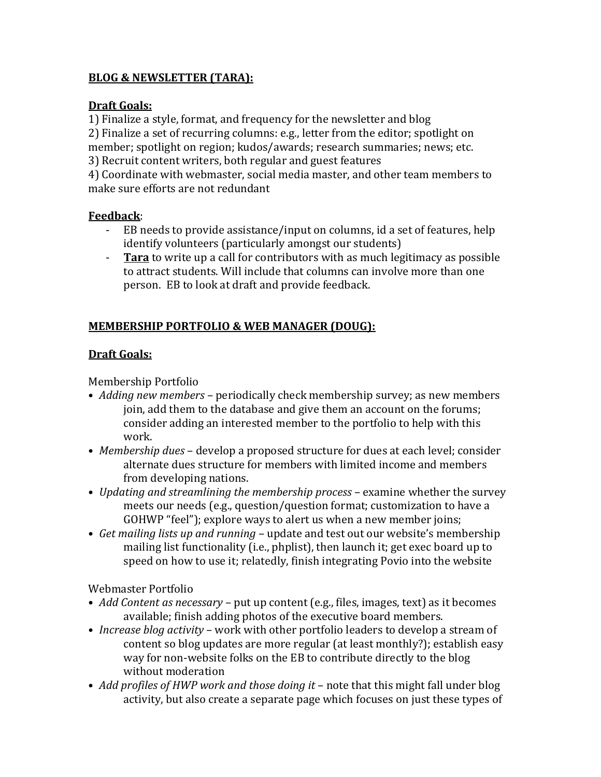### **BLOG & NEWSLETTER (TARA):**

### **Draft Goals:**

1) Finalize a style, format, and frequency for the newsletter and blog

2) Finalize a set of recurring columns: e.g., letter from the editor; spotlight on member; spotlight on region; kudos/awards; research summaries; news; etc.

3) Recruit content writers, both regular and guest features

4) Coordinate with webmaster, social media master, and other team members to make sure efforts are not redundant

## **Feedback**:

- EB needs to provide assistance/input on columns, id a set of features, help identify volunteers (particularly amongst our students)
- **Tara** to write up a call for contributors with as much legitimacy as possible to attract students. Will include that columns can involve more than one person. EB to look at draft and provide feedback.

# **MEMBERSHIP PORTFOLIO & WEB MANAGER (DOUG):**

# **Draft Goals:**

Membership Portfolio

- *Adding new members* periodically check membership survey; as new members join, add them to the database and give them an account on the forums; consider adding an interested member to the portfolio to help with this work.
- *Membership dues* develop a proposed structure for dues at each level; consider alternate dues structure for members with limited income and members from developing nations.
- *Updating and streamlining the membership process* examine whether the survey meets our needs (e.g., question/question format; customization to have a GOHWP "feel"); explore ways to alert us when a new member joins;
- *Get mailing lists up and running* update and test out our website's membership mailing list functionality (i.e., phplist), then launch it; get exec board up to speed on how to use it; relatedly, finish integrating Povio into the website

Webmaster Portfolio

- *Add Content as necessary* put up content (e.g., files, images, text) as it becomes available; finish adding photos of the executive board members.
- *Increase blog activity* work with other portfolio leaders to develop a stream of content so blog updates are more regular (at least monthly?); establish easy way for non-website folks on the EB to contribute directly to the blog without moderation
- *Add profiles of HWP work and those doing it* note that this might fall under blog activity, but also create a separate page which focuses on just these types of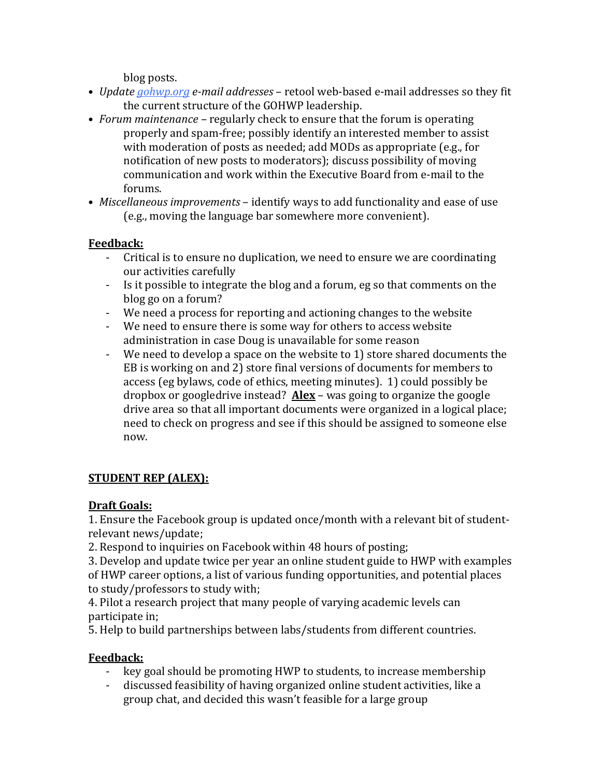blog posts.

- *Update [gohwp.org](http://gohwp.org/) e-mail addresses* retool web-based e-mail addresses so they fit the current structure of the GOHWP leadership.
- *Forum maintenance* regularly check to ensure that the forum is operating properly and spam-free; possibly identify an interested member to assist with moderation of posts as needed; add MODs as appropriate (e.g., for notification of new posts to moderators); discuss possibility of moving communication and work within the Executive Board from e-mail to the forums.
- *Miscellaneous improvements* identify ways to add functionality and ease of use (e.g., moving the language bar somewhere more convenient).

## **Feedback:**

- Critical is to ensure no duplication, we need to ensure we are coordinating our activities carefully
- Is it possible to integrate the blog and a forum, eg so that comments on the blog go on a forum?
- We need a process for reporting and actioning changes to the website
- We need to ensure there is some way for others to access website administration in case Doug is unavailable for some reason
- We need to develop a space on the website to 1) store shared documents the EB is working on and 2) store final versions of documents for members to access (eg bylaws, code of ethics, meeting minutes). 1) could possibly be dropbox or googledrive instead? **Alex** – was going to organize the google drive area so that all important documents were organized in a logical place; need to check on progress and see if this should be assigned to someone else now.

# **STUDENT REP (ALEX):**

# **Draft Goals:**

1. Ensure the Facebook group is updated once/month with a relevant bit of studentrelevant news/update;

2. Respond to inquiries on Facebook within 48 hours of posting;

3. Develop and update twice per year an online student guide to HWP with examples of HWP career options, a list of various funding opportunities, and potential places to study/professors to study with;

4. Pilot a research project that many people of varying academic levels can participate in;

5. Help to build partnerships between labs/students from different countries.

# **Feedback:**

- key goal should be promoting HWP to students, to increase membership
- discussed feasibility of having organized online student activities, like a group chat, and decided this wasn't feasible for a large group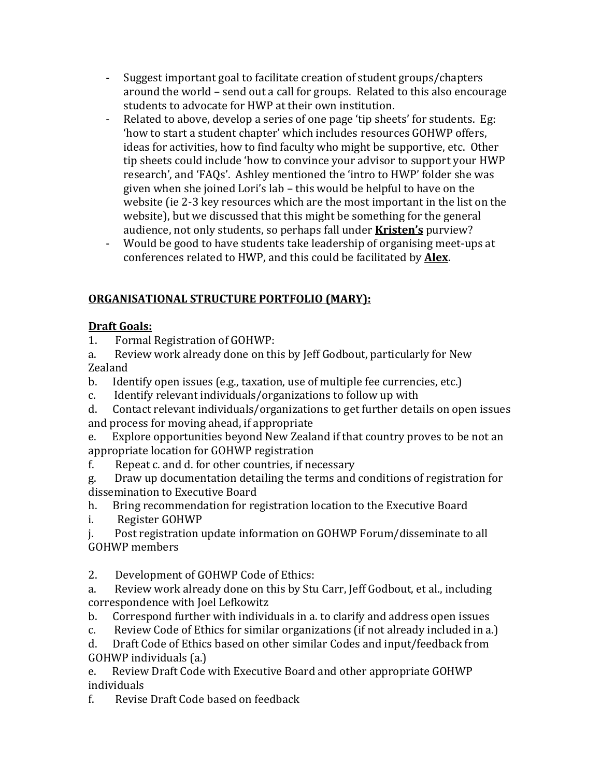- Suggest important goal to facilitate creation of student groups/chapters around the world – send out a call for groups. Related to this also encourage students to advocate for HWP at their own institution.
- Related to above, develop a series of one page 'tip sheets' for students. Eg: 'how to start a student chapter' which includes resources GOHWP offers, ideas for activities, how to find faculty who might be supportive, etc. Other tip sheets could include 'how to convince your advisor to support your HWP research', and 'FAQs'. Ashley mentioned the 'intro to HWP' folder she was given when she joined Lori's lab – this would be helpful to have on the website (ie 2-3 key resources which are the most important in the list on the website), but we discussed that this might be something for the general audience, not only students, so perhaps fall under **Kristen's** purview?
- Would be good to have students take leadership of organising meet-ups at conferences related to HWP, and this could be facilitated by **Alex**.

# **ORGANISATIONAL STRUCTURE PORTFOLIO (MARY):**

# **Draft Goals:**

1. Formal Registration of GOHWP:

a. Review work already done on this by Jeff Godbout, particularly for New Zealand

- b. Identify open issues (e.g., taxation, use of multiple fee currencies, etc.)
- c. Identify relevant individuals/organizations to follow up with

d. Contact relevant individuals/organizations to get further details on open issues and process for moving ahead, if appropriate

e. Explore opportunities beyond New Zealand if that country proves to be not an appropriate location for GOHWP registration

f. Repeat c. and d. for other countries, if necessary

g. Draw up documentation detailing the terms and conditions of registration for dissemination to Executive Board

- h. Bring recommendation for registration location to the Executive Board
- i. Register GOHWP

j. Post registration update information on GOHWP Forum/disseminate to all GOHWP members

2. Development of GOHWP Code of Ethics:

a. Review work already done on this by Stu Carr, Jeff Godbout, et al., including correspondence with Joel Lefkowitz

- b. Correspond further with individuals in a. to clarify and address open issues
- c. Review Code of Ethics for similar organizations (if not already included in a.)

d. Draft Code of Ethics based on other similar Codes and input/feedback from GOHWP individuals (a.)

e. Review Draft Code with Executive Board and other appropriate GOHWP individuals

f. Revise Draft Code based on feedback